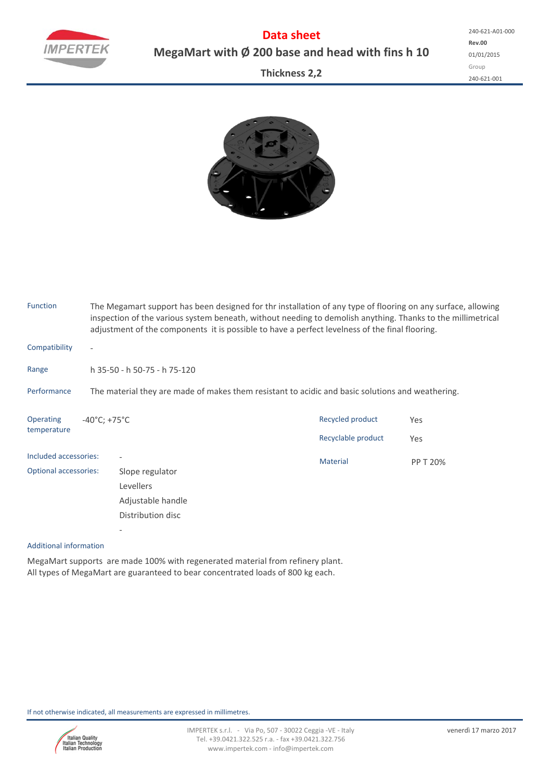

**Data sheet MegaMart with Ø 200 base and head with fins h 10**

**Thickness 2,2**



|                                                                                                  | The Megamart support has been designed for thr installation of any type of flooring on any surface, allowing<br>inspection of the various system beneath, without needing to demolish anything. Thanks to the millimetrical<br>adjustment of the components it is possible to have a perfect levelness of the final flooring. |                                                                                        |            |  |  |  |  |  |  |
|--------------------------------------------------------------------------------------------------|-------------------------------------------------------------------------------------------------------------------------------------------------------------------------------------------------------------------------------------------------------------------------------------------------------------------------------|----------------------------------------------------------------------------------------|------------|--|--|--|--|--|--|
| $\overline{\phantom{a}}$                                                                         |                                                                                                                                                                                                                                                                                                                               |                                                                                        |            |  |  |  |  |  |  |
|                                                                                                  |                                                                                                                                                                                                                                                                                                                               |                                                                                        |            |  |  |  |  |  |  |
| The material they are made of makes them resistant to acidic and basic solutions and weathering. |                                                                                                                                                                                                                                                                                                                               |                                                                                        |            |  |  |  |  |  |  |
|                                                                                                  |                                                                                                                                                                                                                                                                                                                               | Recycled product<br>Recyclable product                                                 | Yes<br>Yes |  |  |  |  |  |  |
| Included accessories:<br><b>Optional accessories:</b>                                            | Slope regulator<br>Levellers<br>Adjustable handle                                                                                                                                                                                                                                                                             | <b>Material</b>                                                                        | PP T 20%   |  |  |  |  |  |  |
|                                                                                                  |                                                                                                                                                                                                                                                                                                                               | h 35-50 - h 50-75 - h 75-120<br>$-40^{\circ}$ C; +75 $^{\circ}$ C<br>Distribution disc |            |  |  |  |  |  |  |

## Additional information

MegaMart supports are made 100% with regenerated material from refinery plant. All types of MegaMart are guaranteed to bear concentrated loads of 800 kg each.

If not otherwise indicated, all measurements are expressed in millimetres.

‐